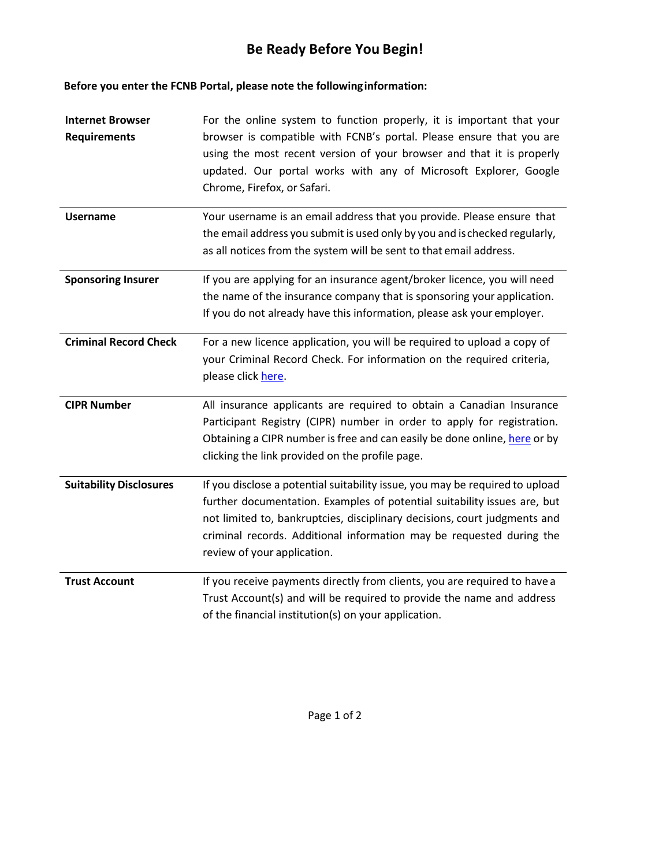## **Be Ready Before You Begin!**

**Before you enter the FCNB Portal, please note the followinginformation:**

| <b>Internet Browser</b><br><b>Requirements</b> | For the online system to function properly, it is important that your<br>browser is compatible with FCNB's portal. Please ensure that you are<br>using the most recent version of your browser and that it is properly<br>updated. Our portal works with any of Microsoft Explorer, Google<br>Chrome, Firefox, or Safari.                    |
|------------------------------------------------|----------------------------------------------------------------------------------------------------------------------------------------------------------------------------------------------------------------------------------------------------------------------------------------------------------------------------------------------|
| <b>Username</b>                                | Your username is an email address that you provide. Please ensure that<br>the email address you submit is used only by you and is checked regularly,<br>as all notices from the system will be sent to that email address.                                                                                                                   |
| <b>Sponsoring Insurer</b>                      | If you are applying for an insurance agent/broker licence, you will need<br>the name of the insurance company that is sponsoring your application.<br>If you do not already have this information, please ask your employer.                                                                                                                 |
| <b>Criminal Record Check</b>                   | For a new licence application, you will be required to upload a copy of<br>your Criminal Record Check. For information on the required criteria,<br>please click here.                                                                                                                                                                       |
| <b>CIPR Number</b>                             | All insurance applicants are required to obtain a Canadian Insurance<br>Participant Registry (CIPR) number in order to apply for registration.<br>Obtaining a CIPR number is free and can easily be done online, here or by<br>clicking the link provided on the profile page.                                                               |
| <b>Suitability Disclosures</b>                 | If you disclose a potential suitability issue, you may be required to upload<br>further documentation. Examples of potential suitability issues are, but<br>not limited to, bankruptcies, disciplinary decisions, court judgments and<br>criminal records. Additional information may be requested during the<br>review of your application. |
| <b>Trust Account</b>                           | If you receive payments directly from clients, you are required to have a<br>Trust Account(s) and will be required to provide the name and address<br>of the financial institution(s) on your application.                                                                                                                                   |